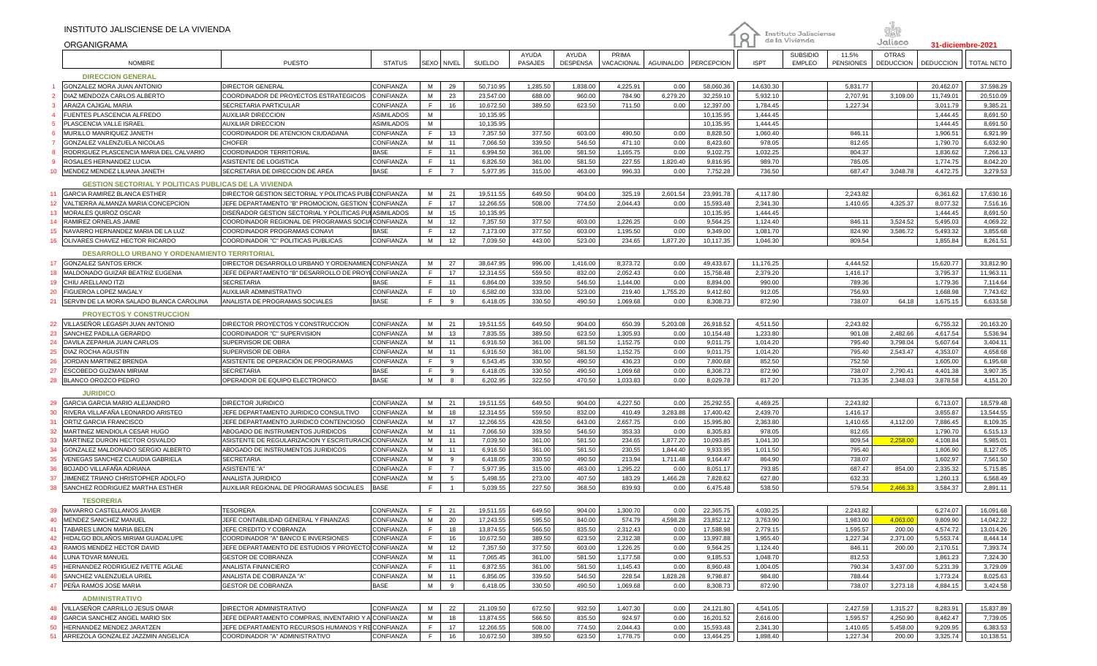| INSTITUTO JALISCIENSE DE LA VIVIENDA<br>ORGANIGRAMA          |                                                                                           |                        |            |                |                        |                  |                          |                      |                  | O                      | Instituto Jalisciense<br>de la Vivienda |                                  | Jalisco                   |                                  | 31-diciembre-2021    |                      |
|--------------------------------------------------------------|-------------------------------------------------------------------------------------------|------------------------|------------|----------------|------------------------|------------------|--------------------------|----------------------|------------------|------------------------|-----------------------------------------|----------------------------------|---------------------------|----------------------------------|----------------------|----------------------|
| <b>NOMBRE</b>                                                | <b>PUESTO</b>                                                                             | <b>STATUS</b>          | SEXO NIVEL |                | SUELDO                 | AYUDA<br>PASAJES | AYUDA<br><b>DESPENSA</b> | PRIMA<br>/ACACIONAL  |                  | AGUINALDO   PERCEPCION | <b>ISPT</b>                             | <b>SUBSIDIO</b><br><b>EMPLEO</b> | 11.5%<br><b>PENSIONES</b> | <b>OTRAS</b><br><b>DEDUCCION</b> | <b>DEDUCCION</b>     | <b>TOTAL NETO</b>    |
| <b>DIRECCION GENERAL</b>                                     |                                                                                           |                        |            |                |                        |                  |                          |                      |                  |                        |                                         |                                  |                           |                                  |                      |                      |
| GONZALEZ MORA JUAN ANTONIO                                   | <b>DIRECTOR GENERAL</b>                                                                   | CONFIANZA              | м          | 29             | 50,710.95              | 1,285.50         | 1,838.00                 | 4,225.91             | 0.00             | 58,060.36              | 14,630.30                               |                                  | 5,831.77                  |                                  | 20,462.07            | 37,598.29            |
| DIAZ MENDOZA CARLOS ALBERTO                                  | COORDINADOR DE PROYECTOS ESTRATEGICOS                                                     | <b>CONFIANZA</b>       | M          | 23             | 23,547.00              | 688.00           | 960.00                   | 784.90               | 6,279.20         | 32,259.10              | 5,932.10                                |                                  | 2,707.91                  | 3,109.00                         | 11,749.01            | 20,510.09            |
| <b>ARAIZA CAJIGAL MARIA</b>                                  | <b>SECRETARIA PARTICULAR</b>                                                              | CONFIANZA              | E          | 16             | 10,672.50              | 389.50           | 623.50                   | 711.50               | 0.00             | 12,397.00              | 1,784.45                                |                                  | 1,227.34                  |                                  | 3,011.79             | 9,385.21             |
| FUENTES PLASCENCIA ALFREDO                                   | <b>AUXILIAR DIRECCION</b>                                                                 | <b>ASIMILADOS</b>      | M          |                | 10,135.95              |                  |                          |                      |                  | 10,135.95              | 1,444.45                                |                                  |                           |                                  | 1,444.45             | 8,691.50             |
| PLASCENCIA VALLE ISRAEL                                      | <b>AUXILIAR DIRECCION</b>                                                                 | <b>ASIMILADOS</b>      | м          |                | 10,135.95              |                  |                          |                      |                  | 10,135.95              | 1,444.45                                |                                  |                           |                                  | 1,444.45             | 8,691.50             |
| MURILLO MANRIQUEZ JANETH                                     | COORDINADOR DE ATENCION CIUDADANA                                                         | CONFIANZA              | E          | 13             | 7,357.50               | 377.50           | 603.00                   | 490.50               | 0.00             | 8,828.50               | 1,060.40                                |                                  | 846.11                    |                                  | 1,906.51             | 6,921.99             |
| GONZALEZ VALENZUELA NICOLAS                                  | <b>CHOFER</b>                                                                             | CONFIANZA              | M          | 11             | 7,066.50               | 339.50           | 546.50                   | 471.10               | 0.00             | 8,423.60               | 978.05                                  |                                  | 812.65                    |                                  | 1,790.70             | 6,632.90             |
| RODRIGUEZ PLASCENCIA MARIA DEL CALVARIO                      | <b>COORDINADOR TERRITORIAL</b>                                                            | <b>BASE</b>            | F          | 11             | 6,994.50               | 361.00           | 581.50                   | 1,165.75             | 0.00             | 9,102.75               | 1,032.25                                |                                  | 804.37                    |                                  | 1,836.62             | 7,266.13             |
| ROSALES HERNANDEZ LUCIA                                      | ASISTENTE DE LOGISTICA                                                                    | CONFIANZA              | E          | 11             | 6,826.50               | 361.00           | 581.50                   | 227.55               | 1,820.40         | 9,816.95               | 989.70                                  |                                  | 785.05                    |                                  | 1,774.75             | 8,042.20             |
| MENDEZ MENDEZ LILIANA JANETH                                 | SECRETARIA DE DIRECCION DE AREA                                                           | <b>BASE</b>            | F.         | $\overline{7}$ | 5,977.95               | 315.00           | 463.00                   | 996.33               | 0.00             | 7,752.28               | 736.50                                  |                                  | 687.47                    | 3,048.78                         | 4,472.75             | 3,279.53             |
| <b>GESTION SECTORIAL Y POLITICAS PUBLICAS DE LA VIVIENDA</b> |                                                                                           |                        |            |                |                        |                  |                          |                      |                  |                        |                                         |                                  |                           |                                  |                      |                      |
| <b>GARCIA RAMIREZ BLANCA ESTHER</b>                          | DIRECTOR GESTION SECTORIAL Y POLITICAS PUBICONFIANZA                                      |                        | M          | 21             | 19,511.55              | 649.50           | 904.00                   | 325.19               | 2,601.54         | 23,991.78              | 4,117.80                                |                                  | 2.243.82                  |                                  | 6,361.62             | 17,630.16            |
| VALTIERRA ALMANZA MARIA CONCEPCION                           | JEFE DEPARTAMENTO "B" PROMOCION, GESTION                                                  | CONFIANZA              |            | 17             | 12,266.55              | 508.00           | 774.50                   | 2,044.43             | 0.00             | 15,593.48              | 2,341.30                                |                                  | 1,410.65                  | 4,325.37                         | 8,077.32             | 7,516.16             |
| MORALES QUIROZ OSCAR                                         | DISEÑADOR GESTION SECTORIAL Y POLITICAS PUI                                               | <b>ASIMILADOS</b>      | M          | 15             | 10,135.95              |                  |                          |                      |                  | 10,135.95              | 1,444.45                                |                                  |                           |                                  | 1,444.45             | 8,691.50             |
| RAMIREZ ORNELAS JAIME                                        | COORDINADOR REGIONAL DE PROGRAMAS SOCIA CONFIANZA                                         |                        | M          | 12             | 7,357.50               | 377.50           | 603.00                   | 1,226.25             | 0.00             | 9,564.25               | 1,124.40                                |                                  | 846.11                    | 3,524.52                         | 5,495.03             | 4,069.22             |
| NAVARRO HERNANDEZ MARIA DE LA LUZ                            | COORDINADOR PROGRAMAS CONAVI                                                              | <b>BASE</b>            | E          | 12             | 7,173.00               | 377.50           | 603.00                   | 1,195.50             | 0.00             | 9,349.00               | 1,081.70                                |                                  | 824.90                    | 3,586.72                         | 5,493.32             | 3,855.68             |
| <b>OLIVARES CHAVEZ HECTOR RICARDO</b>                        | COORDINADOR "C" POLITICAS PUBLICAS                                                        | CONFIANZA              | M          | 12             | 7,039.50               | 443.00           | 523.00                   | 234.65               | 1,877.20         | 10,117.35              | 1,046.30                                |                                  | 809.54                    |                                  | 1,855.84             | 8,261.51             |
| DESARROLLO URBANO Y ORDENAMIENTO TERRITORIAL                 |                                                                                           |                        |            |                |                        |                  |                          |                      |                  |                        |                                         |                                  |                           |                                  |                      |                      |
| <b>GONZALEZ SANTOS ERICK</b>                                 | DIRECTOR DESARROLLO URBANO Y ORDENAMIEN CONFIANZA                                         |                        | M          | 27             | 38,647.95              | 996.00           | 1,416.00                 | 8,373.72             | 0.00             | 49,433.67              | 11,176.25                               |                                  | 4.444.52                  |                                  | 15,620.77            | 33,812.90            |
| MALDONADO GUIZAR BEATRIZ EUGENIA                             | JEFE DEPARTAMENTO "B" DESARROLLO DE PROYICONFIANZA                                        |                        | E          | 17             | 12,314.55              | 559.50           | 832.00                   | 2,052.43             | 0.00             | 15,758.48              | 2,379.20                                |                                  | 1,416.17                  |                                  | 3,795.37             | 11,963.11            |
| CHIU ARELLANO ITZI                                           | <b>SECRETARIA</b>                                                                         | <b>BASE</b>            | E          | 11             | 6,864.00               | 339.50           | 546.50                   | 1,144.00             | 0.00             | 8,894.00               | 990.00                                  |                                  | 789.36                    |                                  | 1,779.36             | 7,114.64             |
| FIGUEROA LOPEZ MAGALY                                        | <b>AUXILIAR ADMINISTRATIVO</b>                                                            | CONFIANZA              | E          | 10             | 6,582.00               | 333.00           | 523.00                   | 219.40               | 1,755.20         | 9,412.60               | 912.05                                  |                                  | 756.93                    |                                  | 1,668.98             | 7,743.62             |
| SERVIN DE LA MORA SALADO BLANCA CAROLINA                     | ANALISTA DE PROGRAMAS SOCIALES                                                            | <b>BASE</b>            | F.         | 9              | 6,418.05               | 330.50           | 490.50                   | 1,069.68             | 0.00             | 8,308.73               | 872.90                                  |                                  | 738.07                    | 64.18                            | 1,675.15             | 6,633.58             |
| <b>PROYECTOS Y CONSTRUCCION</b>                              |                                                                                           |                        |            |                |                        |                  |                          |                      |                  |                        |                                         |                                  |                           |                                  |                      |                      |
| VILLASEÑOR LEGASPI JUAN ANTONIO                              | DIRECTOR PROYECTOS Y CONSTRUCCION                                                         | <b>CONFIANZA</b>       | M          | 21             | 19,511.55              | 649.50           | 904.00                   | 650.39               | 5,203.08         | 26,918.52              | 4,511.50                                |                                  | 2,243.82                  |                                  | 6,755.32             | 20,163.20            |
| SANCHEZ PADILLA GERARDO                                      | COORDINADOR "C" SUPERVISION                                                               | CONFIANZA              | M          | 13             | 7,835.55               | 389.50           | 623.50                   | 1,305.93             | 0.00             | 10,154.48              | 1,233.80                                |                                  | 901.08                    | 2,482.66                         | 4,617.54             | 5,536.94             |
| DAVILA ZEPAHUA JUAN CARLOS                                   | SUPERVISOR DE OBRA                                                                        | CONFIANZA              | M          | 11             | 6,916.50               | 361.00           | 581.50                   | 1,152.75             | 0.00             | 9,011.75               | 1,014.20                                |                                  | 795.40                    | 3,798.04                         | 5,607.64             | 3,404.11             |
| <b>DIAZ ROCHA AGUSTIN</b>                                    | SUPERVISOR DE OBRA                                                                        | <b>CONFIANZA</b>       | M          | 11             | 6,916.50               | 361.00           | 581.50                   | 1,152.75             | 0.00             | 9,011.75               | 1,014.20                                |                                  | 795.40                    | 2,543.47                         | 4,353.07             | 4,658.68             |
| JORDAN MARTINEZ BRENDA                                       | ASISTENTE DE OPERACIÓN DE PROGRAMAS                                                       | CONFIANZA              | E          | 9              | 6.543.45               | 330.50           | 490.50                   | 436.23               | 0.00             | 7,800.68               | 852.50                                  |                                  | 752.50                    |                                  | 1,605.00             | 6,195.68             |
| ESCOBEDO GUZMAN MIRIAM                                       | <b>SECRETARIA</b>                                                                         | BASE                   | F          | 9              | 6,418.05               | 330.50           | 490.50                   | 1,069.68             | 0.00             | 8,308.73               | 872.90                                  |                                  | 738.07                    | 2,790.41                         | 4,401.38             | 3,907.35             |
| BLANCO OROZCO PEDRO                                          | OPERADOR DE EQUIPO ELECTRONICO                                                            | <b>BASE</b>            | M          | 8              | 6,202.95               | 322.50           | 470.50                   | 1,033.83             | 0.00             | 8,029.78               | 817.20                                  |                                  | 713.35                    | 2,348.03                         | 3,878.58             | 4,151.20             |
| <b>JURIDICO</b>                                              |                                                                                           |                        |            |                |                        |                  |                          |                      |                  |                        |                                         |                                  |                           |                                  |                      |                      |
| <b>GARCIA GARCIA MARIO ALEJANDRO</b>                         | <b>DIRECTOR JURIDICO</b>                                                                  | CONFIANZA              | M          | 21             | 19,511.55              | 649.50           | 904.00                   | 4,227.50             | 0.00             | 25,292.55              | 4,469.25                                |                                  | 2,243.82                  |                                  | 6,713.07             | 18,579.48            |
| RIVERA VILLAFAÑA LEONARDO ARISTEO                            | JEFE DEPARTAMENTO JURIDICO CONSULTIVO                                                     | CONFIANZA              | M          | 18             | 12,314.55              | 559.50           | 832.00                   | 410.49               | 3,283.88         | 17,400.42              | 2,439.70                                |                                  | 1,416.17                  |                                  | 3,855.87             | 13,544.55            |
| ORTIZ GARCIA FRANCISCO                                       | JEFE DEPARTAMENTO JURIDICO CONTENCIOSO                                                    | CONFIANZA              | M          | 17             | 12,266.55              | 428.50           | 643.00                   | 2,657.75             | 0.00             | 15,995.80              | 2,363.80                                |                                  | 1,410.65                  | 4,112.00                         | 7,886.45             | 8,109.35             |
| MARTINEZ MENDIOLA CESAR HUGO                                 | ABOGADO DE INSTRUMENTOS JURIDICOS                                                         | <b>CONFIANZA</b>       | M          | 11             | 7,066.50               | 339.50           | 546.50                   | 353.33               | 0.00             | 8,305.83               | 978.05                                  |                                  | 812.65                    |                                  | 1,790.70             | 6,515.13             |
| MARTINEZ DURON HECTOR OSVALDO                                | ASISTENTE DE REGULARIZACION Y ESCRITURACIO CONFIANZA                                      |                        | M          | 11             | 7,039.50               | 361.00           | 581.50                   | 234.65               | 1,877.20         | 10,093.85              | 1,041.30                                |                                  | 809.54                    | 2,258.0                          | 4,108.84             | 5,985.01             |
| GONZALEZ MALDONADO SERGIO ALBERTO                            | ABOGADO DE INSTRUMENTOS JURIDICOS                                                         | <b>CONFIANZA</b>       | M          | 11             | 6,916.50               | 361.00           | 581.50                   | 230.55               | 1,844.40         | 9,933.95               | 1,011.50                                |                                  | 795.40                    |                                  | 1,806.90             | 8,127.05             |
| <b>VENEGAS SANCHEZ CLAUDIA GABRIELA</b>                      | <b>SECRETARIA</b>                                                                         | CONFIANZA              | м          | 9              | 6,418.05               | 330.50           | 490.50                   | 213.94               | 1,711.48         | 9,164.47               | 864.90                                  |                                  | 738.07                    |                                  | 1,602.97             | 7,561.50             |
| BOJADO VILLAFANA ADRIANA                                     | <b>ASISTENTE "A"</b>                                                                      | <b>CONFIANZA</b>       | E          | $\overline{7}$ | 5,977.95               | 315.00           | 463.00                   | 1,295.22             | 0.00             | 8,051.17               | 793.85                                  |                                  | 687.47                    | 854.00                           | 2,335.32             | 5,715.85             |
| JIMENEZ TRIANO CHRISTOPHER ADOLFO                            | ANALISTA JURIDICO                                                                         | CONFIANZA              | м          | 5              | 5,498.55               | 273.00           | 407.50                   | 183.29               | 1,466.28         | 7,828.62               | 627.80                                  |                                  | 632.33                    |                                  | 1,260.13             | 6,568.49             |
| SANCHEZ RODRIGUEZ MARTHA ESTHER                              | AUXILIAR REGIONAL DE PROGRAMAS SOCIALES                                                   | <b>BASE</b>            | F.         | $\overline{1}$ | 5,039.55               | 227.50           | 368.50                   | 839.93               | 0.00             | 6,475.48               | 538.50                                  |                                  | 579.54                    | 2,466.33                         | 3,584.37             | 2,891.11             |
|                                                              |                                                                                           |                        |            |                |                        |                  |                          |                      |                  |                        |                                         |                                  |                           |                                  |                      |                      |
| <b>TESORERIA</b>                                             |                                                                                           |                        |            |                |                        |                  |                          |                      |                  |                        |                                         |                                  |                           |                                  |                      |                      |
| NAVARRO CASTELLANOS JAVIER                                   | TESORERA                                                                                  | CONFIANZA              | F.         | 21             | 19,511.55              | 649.50           | 904.00                   | 1,300.70             | 0.00             | 22,365.75              | 4,030.25                                |                                  | 2,243.82                  |                                  | 6,274.07             | 16,091.68            |
| MENDEZ SANCHEZ MANUEL                                        | JEFE CONTABILIDAD GENERAL Y FINANZAS                                                      | CONFIANZA              | M          | 20             | 17,243.55              | 595.50           | 840.00                   | 574.79               | 4,598.28         | 23,852.12              | 3,763.90                                |                                  | 1,983.00                  | 4,063.00                         | 9,809.90             | 14,042.22            |
| TABARES LIMON MARIA BELEN                                    | JEFE CREDITO Y COBRANZA                                                                   | CONFIANZA<br>CONFIANZA | F          | 18             | 13,874.55              | 566.50<br>389.50 | 835.50                   | 2,312.43             | 0.00             | 17,588.98              | 2,779.15                                |                                  | 1,595.57                  | 200.00<br>2,371.00               | 4,574.72             | 13,014.26            |
| HIDALGO BOLAÑOS MIRIAM GUADALUPE                             | COORDINADOR "A" BANCO E INVERSIONES<br>JEFE DEPARTAMENTO DE ESTUDIOS Y PROYECTO CONFIANZA |                        |            | 16             | 10,672.50              |                  | 623.50                   | 2,312.38             | 0.00             | 13,997.88              | 1,955.40                                |                                  | 1,227.34                  |                                  | 5,553.74             | 8,444.14             |
| RAMOS MENDEZ HECTOR DAVID<br>LUNA TOVAR MANUEL               | <b>GESTOR DE COBRANZA</b>                                                                 | CONFIANZA              | M<br>M     | 12<br>11       | 7,357.50<br>7,065.45   | 377.50<br>361.00 | 603.00<br>581.50         | 1,226.25<br>1,177.58 | 0.00<br>0.00     | 9,564.25<br>9,185.53   | 1,124.40<br>1,048.70                    |                                  | 846.11<br>812.53          | 200.00                           | 2,170.51<br>1,861.23 | 7,393.74<br>7,324.30 |
|                                                              |                                                                                           |                        |            |                |                        |                  |                          |                      |                  |                        |                                         |                                  |                           |                                  |                      |                      |
| HERNANDEZ RODRIGUEZ IVETTE AGLAE<br>SANCHEZ VALENZUELA URIEL | ANALISTA FINANCIERO                                                                       | CONFIANZA              | F          | 11             | 6,872.55               | 361.00           | 581.50                   | 1,145.43             | 0.00             | 8,960.48               | 1,004.05                                |                                  | 790.34                    | 3,437.00                         | 5,231.39             | 3,729.09             |
| PEÑA RAMOS JOSE MARIA                                        | ANALISTA DE COBRANZA "A"<br><b>GESTOR DE COBRANZA</b>                                     | CONFIANZA<br>BASE      | M<br>М     | 11<br>9        | 6,856.05<br>6,418.05   | 339.50<br>330.50 | 546.50<br>490.50         | 228.54<br>1,069.68   | 1,828.28<br>0.00 | 9,798.87<br>8,308.73   | 984.80<br>872.90                        |                                  | 788.44<br>738.07          | 3,273.18                         | 1,773.24<br>4,884.15 | 8,025.63<br>3,424.58 |
|                                                              |                                                                                           |                        |            |                |                        |                  |                          |                      |                  |                        |                                         |                                  |                           |                                  |                      |                      |
| <b>ADMINISTRATIVO</b>                                        |                                                                                           |                        |            |                |                        |                  |                          |                      |                  |                        |                                         |                                  |                           |                                  |                      |                      |
| 48   VILLASEÑOR CARRILLO JESUS OMAR                          | DIRECTOR ADMINISTRATIVO                                                                   | CONFIANZA              | м          | 22             | 21,109.50              | 672.50           | 932.50                   | 1,407.30             | 0.00             | 24,121.80              | 4,541.05                                |                                  | 2,427.59                  | 1,315.27                         | 8,283.91             | 15,837.89            |
| GARCIA SANCHEZ ANGEL MARIO SIX                               | JEFE DEPARTAMENTO COMPRAS, INVENTARIO Y A CONFIANZA                                       |                        | м<br>F     | 18             | 13,874.55              | 566.50           | 835.50                   | 924.97               | 0.00             | 16,201.52              | 2,616.00                                |                                  | 1,595.57                  | 4,250.90                         | 8,462.47             | 7,739.05             |
| HERNANDEZ MENDEZ JARATZEN                                    | JEFE DEPARTAMENTO RECURSOS HUMANOS Y RECONFIANZA<br>COORDINADOR "A" ADMINISTRATIVO        |                        | F          | 17<br>16       | 12,266.55<br>10,672.50 | 508.00<br>389.50 | 774.50<br>623.50         | 2,044.43<br>1,778.75 | 0.00<br>0.00     | 15,593.48<br>13,464.25 | 2,341.30<br>1,898.40                    |                                  | 1,410.65<br>1,227.34      | 5,458.00<br>200.00               | 9,209.95<br>3,325.74 | 6,383.53             |
| ARREZOLA GONZALEZ JAZZMIN ANGELICA                           |                                                                                           | CONFIANZA              |            |                |                        |                  |                          |                      |                  |                        |                                         |                                  |                           |                                  |                      | 10,138.51            |